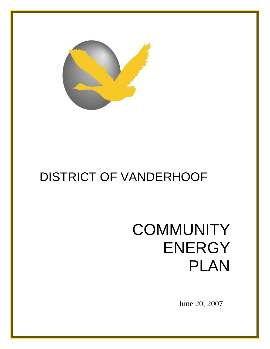

# DISTRICT OF VANDERHOOF

# **COMMUNITY** ENERGY PLAN

June 20, 2007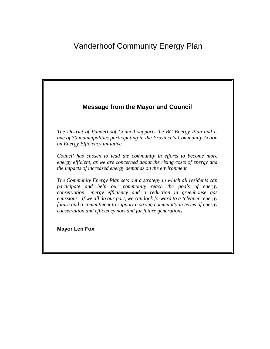# Vanderhoof Community Energy Plan



*The District of Vanderhoof Council supports the BC Energy Plan and is one of 30 municipalities participating in the Province's Community Action on Energy Efficiency initiative.* 

*Council has chosen to lead the community in efforts to become more energy efficient, as we are concerned about the rising costs of energy and the impacts of increased energy demands on the environment.* 

*The Community Energy Plan sets out a strategy in which all residents can participate and help our community reach the goals of energy conservation, energy efficiency and a reduction in greenhouse gas emissions. If we all do our part, we can look forward to a 'cleaner' energy future and a commitment to support a strong community in terms of energy conservation and efficiency now and for future generations.*

**Mayor Len Fox**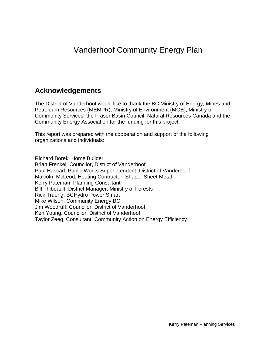# Vanderhoof Community Energy Plan

# **Acknowledgements**

The District of Vanderhoof would like to thank the BC Ministry of Energy, Mines and Petroleum Resources (MEMPR), Ministry of Environment (MOE), Ministry of Community Services, the Fraser Basin Council, Natural Resources Canada and the Community Energy Association for the funding for this project.

This report was prepared with the cooperation and support of the following organizations and individuals:

Richard Borek, Home Builder Brian Frenkel, Councilor, District of Vanderhoof Paul Hascarl, Public Works Superintendent, District of Vanderhoof Malcolm McLeod, Heating Contractor, Shaper Sheet Metal Kerry Pateman, Planning Consultant Bill Thibeault, District Manager, Ministry of Forests Rick Truong, BCHydro Power Smart Mike Wilson, Community Energy BC Jim Woodruff, Councilor, District of Vanderhoof Ken Young, Councilor, District of Vanderhoof Taylor Zeeg, Consultant, Community Action on Energy Efficiency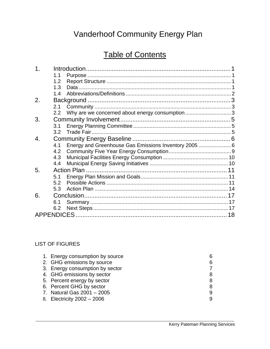# Vanderhoof Community Energy Plan

# Table of Contents

| 1. |     |                                                       |    |
|----|-----|-------------------------------------------------------|----|
|    | 1.1 |                                                       |    |
|    | 1.2 |                                                       |    |
|    | 1.3 |                                                       |    |
|    | 14  |                                                       |    |
| 2. |     |                                                       |    |
|    | 2.1 |                                                       |    |
|    | 2.2 | Why are we concerned about energy consumption3        |    |
| 3. |     |                                                       |    |
|    | 3.1 |                                                       |    |
|    | 3.2 |                                                       |    |
| 4. |     |                                                       |    |
|    | 4.1 | Energy and Greenhouse Gas Emissions Inventory 2005  6 |    |
|    | 4.2 |                                                       |    |
|    | 4.3 |                                                       |    |
|    | 4.4 |                                                       |    |
| 5. |     |                                                       |    |
|    | 5.1 |                                                       |    |
|    | 5.2 |                                                       |    |
|    | 5.3 |                                                       |    |
| 6. |     |                                                       |    |
|    | 6.1 |                                                       |    |
|    | 6.2 |                                                       |    |
|    |     |                                                       | 18 |
|    |     |                                                       |    |

#### LIST OF FIGURES

| 1. Energy consumption by source |   |
|---------------------------------|---|
| 2. GHG emissions by source      | 6 |
| 3. Energy consumption by sector |   |
| 4. GHG emissions by sector      |   |
| 5. Percent energy by sector     | 8 |
| 6. Percent GHG by sector        |   |
| 7. Natural Gas 2001 - 2005      |   |
| 8. Electricity 2002 - 2006      |   |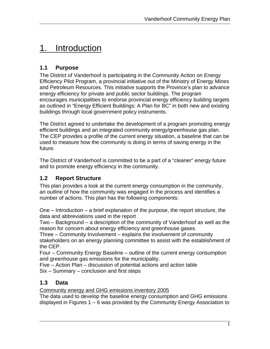# <span id="page-4-0"></span>1. Introduction

### **1.1 Purpose**

The District of Vanderhoof is participating in the Community Action on Energy Efficiency Pilot Program, a provincial initiative out of the Ministry of Energy Mines and Petroleum Resources. This initiative supports the Province's plan to advance energy efficiency for private and public sector buildings. The program encourages municipalities to endorse provincial energy efficiency building targets as outlined in "Energy Efficient Buildings: A Plan for BC" in both new and existing buildings through local government policy instruments.

The District agreed to undertake the development of a program promoting energy efficient buildings and an integrated community energy/greenhouse gas plan. The CEP provides a profile of the current energy situation, a baseline that can be used to measure how the community is doing in terms of saving energy in the future.

The District of Vanderhoof is committed to be a part of a "cleaner" energy future and to promote energy efficiency in the community.

### **1.2 Report Structure**

This plan provides a look at the current energy consumption in the community, an outline of how the community was engaged in the process and identifies a number of actions. This plan has the following components:

One – Introduction – a brief explanation of the purpose, the report structure, the data and abbreviations used in the report

Two – Background – a description of the community of Vanderhoof as well as the reason for concern about energy efficiency and greenhouse gases.

Three – Community Involvement – explains the involvement of community stakeholders on an energy planning committee to assist with the establishment of the CEP.

Four – Community Energy Baseline – outline of the current energy consumption and greenhouse gas emissions for the municipality.

Five – Action Plan – discussion of potential actions and action table Six – Summary – conclusion and first steps

### **1.3 Data**

Community energy and GHG emissions inventory 2005

The data used to develop the baseline energy consumption and GHG emissions displayed in Figures 1 – 6 was provided by the Community Energy Association to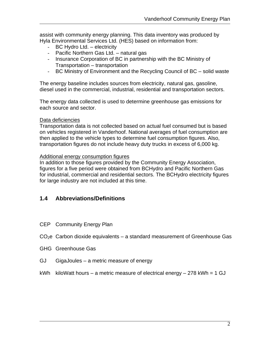<span id="page-5-0"></span>assist with community energy planning. This data inventory was produced by Hyla Environmental Services Ltd. (HES) based on information from:

- BC Hydro Ltd. electricity
- Pacific Northern Gas Ltd. natural gas
- Insurance Corporation of BC in partnership with the BC Ministry of Transportation – transportation
- BC Ministry of Environment and the Recycling Council of BC solid waste

The energy baseline includes sources from electricity, natural gas, gasoline, diesel used in the commercial, industrial, residential and transportation sectors.

The energy data collected is used to determine greenhouse gas emissions for each source and sector.

#### Data deficiencies

Transportation data is not collected based on actual fuel consumed but is based on vehicles registered in Vanderhoof. National averages of fuel consumption are then applied to the vehicle types to determine fuel consumption figures. Also, transportation figures do not include heavy duty trucks in excess of 6,000 kg.

#### Additional energy consumption figures

In addition to those figures provided by the Community Energy Association, figures for a five period were obtained from BCHydro and Pacific Northern Gas for industrial, commercial and residential sectors. The BCHydro electricity figures for large industry are not included at this time.

#### **1.4 Abbreviations/Definitions**

- CEP Community Energy Plan
- $CO<sub>2</sub>e$  Carbon dioxide equivalents a standard measurement of Greenhouse Gas
- GHG Greenhouse Gas
- GJ GigaJoules a metric measure of energy
- kWh kiloWatt hours a metric measure of electrical energy 278 kWh =  $1$  GJ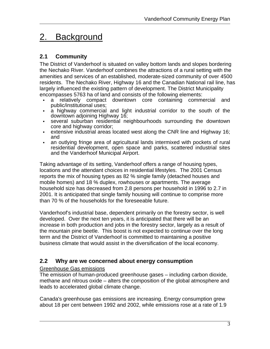# <span id="page-6-0"></span>2. Background

### **2.1 Community**

The District of Vanderhoof is situated on valley bottom lands and slopes bordering the Nechako River. Vanderhoof combines the attractions of a rural setting with the amenities and services of an established, moderate-sized community of over 4500 residents. The Nechako River, Highway 16 and the Canadian National rail line, has largely influenced the existing pattern of development. The District Municipality encompasses 5763 ha of land and consists of the following elements:

- a relatively compact downtown core containing commercial and public/institutional uses;
- a highway commercial and light industrial corridor to the south of the downtown adjoining Highway 16;
- several suburban residential neighbourhoods surrounding the downtown core and highway corridor;
- extensive industrial areas located west along the CNR line and Highway 16; and
- an outlying fringe area of agricultural lands intermixed with pockets of rural residential development, open space and parks, scattered industrial sites and the Vanderhoof Municipal Airport.

Taking advantage of its setting, Vanderhoof offers a range of housing types, locations and the attendant choices in residential lifestyles. The 2001 Census reports the mix of housing types as 82 % single family (detached houses and mobile homes) and 18 % duplex, rowhouses or apartments. The average household size has decreased from 2.8 persons per household in 1996 to 2.7 in 2001. It is anticipated that single family housing will continue to comprise more than 70 % of the households for the foreseeable future.

Vanderhoof's industrial base, dependent primarily on the forestry sector, is well developed. Over the next ten years, it is anticipated that there will be an increase in both production and jobs in the forestry sector, largely as a result of the mountain pine beetle. This boost is not expected to continue over the long term and the District of Vanderhoof is committed to maintaining a positive business climate that would assist in the diversification of the local economy.

### **2.2 Why are we concerned about energy consumption**

#### Greenhouse Gas emissions

The emission of human-produced greenhouse gases – including carbon dioxide, methane and nitrous oxide – alters the composition of the global atmosphere and leads to accelerated global climate change.

Canada's greenhouse gas emissions are increasing. Energy consumption grew about 18 per cent between 1992 and 2002, while emissions rose at a rate of 1.9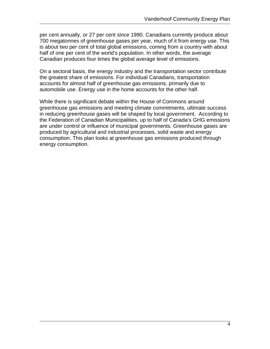per cent annually, or 27 per cent since 1990. Canadians currently produce about 700 megatonnes of greenhouse gases per year, much of it from energy use. This is about two per cent of total global emissions, coming from a country with about half of one per cent of the world's population. In other words, the average Canadian produces four times the global average level of emissions.

On a sectoral basis, the energy industry and the transportation sector contribute the greatest share of emissions. For individual Canadians, transportation accounts for almost half of greenhouse gas emissions, primarily due to automobile use. Energy use in the home accounts for the other half.

While there is significant debate within the House of Commons around greenhouse gas emissions and meeting climate commitments, ultimate success in reducing greenhouse gases will be shaped by local government. According to the Federation of Canadian Municipalities, up to half of Canada's GHG emissions are under control or influence of municipal governments. Greenhouse gases are produced by agricultural and industrial processes, solid waste and energy consumption. This plan looks at greenhouse gas emissions produced through energy consumption.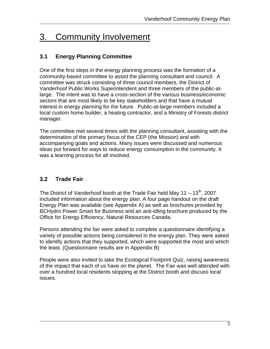# <span id="page-8-0"></span>3. Community Involvement

### **3.1 Energy Planning Committee**

One of the first steps in the energy planning process was the formation of a community-based committee to assist the planning consultant and council. A committee was struck consisting of three council members, the District of Vanderhoof Public Works Superintendent and three members of the public-atlarge. The intent was to have a cross-section of the various business/economic sectors that are most likely to be key stakeholders and that have a mutual interest in energy planning for the future. Public-at-large members included a local custom home builder, a heating contractor, and a Ministry of Forests district manager.

The committee met several times with the planning consultant, assisting with the determination of the primary focus of the CEP (the Mission) and with accompanying goals and actions. Many issues were discussed and numerous ideas put forward for ways to reduce energy consumption in the community. It was a learning process for all involved.

### **3.2 Trade Fair**

The District of Vanderhoof booth at the Trade Fair held May  $11 - 13<sup>th</sup>$ , 2007 included information about the energy plan. A four page handout on the draft Energy Plan was available (see Appendix A) as well as brochures provided by BCHydro Power Smart for Business and an anti-idling brochure produced by the Office for Energy Efficiency, Natural Resources Canada.

Persons attending the fair were asked to complete a questionnaire identifying a variety of possible actions being considered in the energy plan. They were asked to identify actions that they supported, which were supported the most and which the least. (Questionnaire results are in Appendix B)

People were also invited to take the Ecological Footprint Quiz, raising awareness of the impact that each of us have on the planet. The Fair was well attended with over a hundred local residents stopping at the District booth and discuss local issues.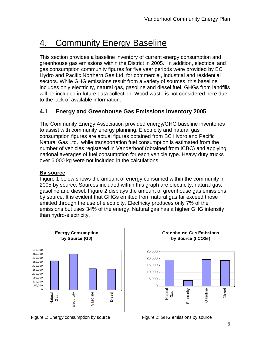# <span id="page-9-0"></span>4. Community Energy Baseline

This section provides a baseline inventory of current energy consumption and greenhouse gas emissions within the District in 2005. In addition, electrical and gas consumption community figures for five year periods were provided by BC Hydro and Pacific Northern Gas Ltd. for commercial, industrial and residential sectors. While GHG emissions result from a variety of sources, this baseline includes only electricity, natural gas, gasoline and diesel fuel. GHGs from landfills will be included in future data collection. Wood waste is not considered here due to the lack of available information.

### **4.1 Energy and Greenhouse Gas Emissions Inventory 2005**

The Community Energy Association provided energy/GHG baseline inventories to assist with community energy planning. Electricity and natural gas consumption figures are actual figures obtained from BC Hydro and Pacific Natural Gas Ltd., while transportation fuel consumption is estimated from the number of vehicles registered in Vanderhoof (obtained from ICBC) and applying national averages of fuel consumption for each vehicle type. Heavy duty trucks over 6,000 kg were not included in the calculations.

#### **By source**

Figure 1 below shows the amount of energy consumed within the community in 2005 by source. Sources included within this graph are electricity, natural gas, gasoline and diesel. Figure 2 displays the amount of greenhouse gas emissions by source. It is evident that GHGs emitted from natural gas far exceed those emitted through the use of electricity. Electricity produces only 7% of the emissions but uses 34% of the energy. Natural gas has a higher GHG intensity than hydro-electricity.



Figure 1: Energy consumption by source Figure 2: GHG emissions by source



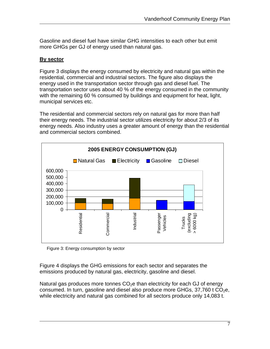Gasoline and diesel fuel have similar GHG intensities to each other but emit more GHGs per GJ of energy used than natural gas.

#### **By sector**

Figure 3 displays the energy consumed by electricity and natural gas within the residential, commercial and industrial sectors. The figure also displays the energy used in the transportation sector through gas and diesel fuel. The transportation sector uses about 40 % of the energy consumed in the community with the remaining 60 % consumed by buildings and equipment for heat, light, municipal services etc.

The residential and commercial sectors rely on natural gas for more than half their energy needs. The industrial sector utilizes electricity for about 2/3 of its energy needs. Also industry uses a greater amount of energy than the residential and commercial sectors combined.



Figure 3: Energy consumption by sector

Figure 4 displays the GHG emissions for each sector and separates the emissions produced by natural gas, electricity, gasoline and diesel.

Natural gas produces more tonnes  $CO<sub>2</sub>e$  than electricity for each GJ of energy consumed. In turn, gasoline and diesel also produce more GHGs,  $37,760$  t CO<sub>2</sub>e, while electricity and natural gas combined for all sectors produce only 14,083 t.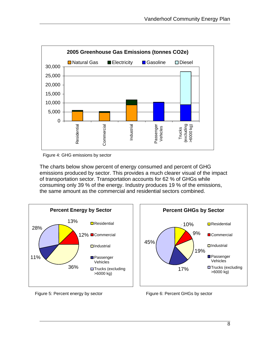

Figure 4: GHG emissions by sector

The charts below show percent of energy consumed and percent of GHG emissions produced by sector. This provides a much clearer visual of the impact of transportation sector. Transportation accounts for 62 % of GHGs while consuming only 39 % of the energy. Industry produces 19 % of the emissions, the same amount as the commercial and residential sectors combined.





Figure 5: Percent energy by sector Figure 6: Percent GHGs by sector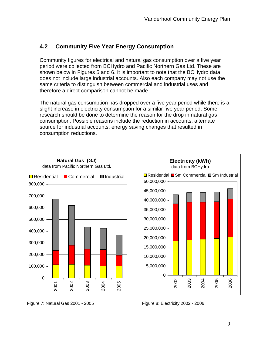### <span id="page-12-0"></span>**4.2 Community Five Year Energy Consumption**

Community figures for electrical and natural gas consumption over a five year period were collected from BCHydro and Pacific Northern Gas Ltd. These are shown below in Figures 5 and 6. It is important to note that the BCHydro data does not include large industrial accounts. Also each company may not use the same criteria to distinguish between commercial and industrial uses and therefore a direct comparison cannot be made.

The natural gas consumption has dropped over a five year period while there is a slight increase in electricity consumption for a similar five year period. Some research should be done to determine the reason for the drop in natural gas consumption. Possible reasons include the reduction in accounts, alternate source for industrial accounts, energy saving changes that resulted in consumption reductions.



Figure 7: Natural Gas 2001 - 2005 Figure 8: Electricity 2002 - 2006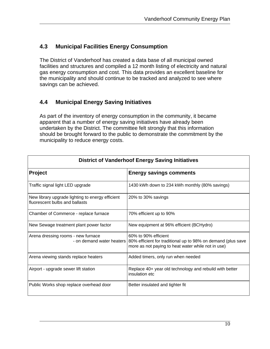### <span id="page-13-0"></span>**4.3 Municipal Facilities Energy Consumption**

The District of Vanderhoof has created a data base of all municipal owned facilities and structures and compiled a 12 month listing of electricity and natural gas energy consumption and cost. This data provides an excellent baseline for the municipality and should continue to be tracked and analyzed to see where savings can be achieved.

### **4.4 Municipal Energy Saving Initiatives**

As part of the inventory of energy consumption in the community, it became apparent that a number of energy saving initiatives have already been undertaken by the District. The committee felt strongly that this information should be brought forward to the public to demonstrate the commitment by the municipality to reduce energy costs.

| <b>District of Vanderhoof Energy Saving Initiatives</b>                            |                                                                                                                                                                      |  |  |  |
|------------------------------------------------------------------------------------|----------------------------------------------------------------------------------------------------------------------------------------------------------------------|--|--|--|
| <b>Project</b>                                                                     | <b>Energy savings comments</b>                                                                                                                                       |  |  |  |
| Traffic signal light LED upgrade                                                   | 1430 kWh down to 234 kWh monthly (80% savings)                                                                                                                       |  |  |  |
| New library upgrade lighting to energy efficient<br>fluorescent bulbs and ballasts | 20% to 30% savings                                                                                                                                                   |  |  |  |
| Chamber of Commerce - replace furnace                                              | 70% efficient up to 90%                                                                                                                                              |  |  |  |
| New Sewage treatment plant power factor                                            | New equipment at 96% efficient (BCHydro)                                                                                                                             |  |  |  |
| Arena dressing rooms - new furnace                                                 | 60% to 90% efficient<br>- on demand water heaters 80% efficient for traditional up to 98% on demand (plus save<br>more as not paying to heat water while not in use) |  |  |  |
| Arena viewing stands replace heaters                                               | Added timers, only run when needed                                                                                                                                   |  |  |  |
| Airport - upgrade sewer lift station                                               | Replace 40+ year old technology and rebuild with better<br>insulation etc                                                                                            |  |  |  |
| Public Works shop replace overhead door                                            | Better insulated and tighter fit                                                                                                                                     |  |  |  |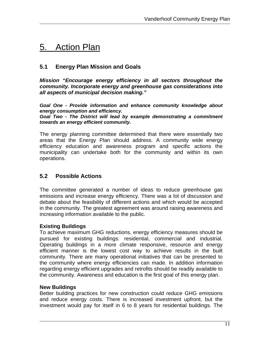# <span id="page-14-0"></span>5. Action Plan

#### **5.1 Energy Plan Mission and Goals**

*Mission "Encourage energy efficiency in all sectors throughout the community. Incorporate energy and greenhouse gas considerations into all aspects of municipal decision making."*

*Goal One - Provide information and enhance community knowledge about energy consumption and efficiency.*

*Goal Two - The District will lead by example demonstrating a commitment towards an energy efficient community.*

The energy planning committee determined that there were essentially two areas that the Energy Plan should address. A community wide energy efficiency education and awareness program and specific actions the municipality can undertake both for the community and within its own operations.

#### **5.2 Possible Actions**

The committee generated a number of ideas to reduce greenhouse gas emissions and increase energy efficiency. There was a lot of discussion and debate about the feasibility of different actions and which would be accepted in the community. The greatest agreement was around raising awareness and increasing information available to the public.

#### **Existing Buildings**

To achieve maximum GHG reductions, energy efficiency measures should be pursued for existing buildings: residential, commercial and industrial. Operating buildings in a more climate responsive, resource and energy efficient manner is the lowest cost way to achieve results in the built community. There are many operational initiatives that can be presented to the community where energy efficiencies can made. In addition information regarding energy efficient upgrades and retrofits should be readily available to the community. Awareness and education is the first goal of this energy plan.

#### **New Buildings**

Better building practices for new construction could reduce GHG emissions and reduce energy costs. There is increased investment upfront, but the investment would pay for itself in 6 to 8 years for residential buildings. The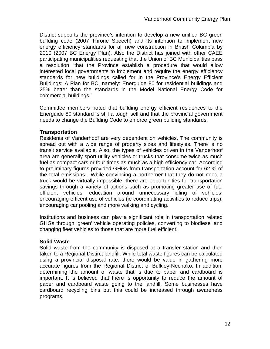District supports the province's intention to develop a new unified BC green building code (2007 Throne Speech) and its intention to implement new energy efficiency standards for all new construction in British Columbia by 2010 (2007 BC Energy Plan). Also the District has joined with other CAEE participating municipalities requesting that the Union of BC Municipalities pass a resolution "that the Province establish a procedure that would allow interested local governments to implement and require the energy efficiency standards for new buildings called for in the Province's Energy Efficient Buildings: A Plan for BC, namely: Energuide 80 for residential buildings and 25% better than the standards in the Model National Energy Code for commercial buildings."

Committee members noted that building energy efficient residences to the Energuide 80 standard is still a tough sell and that the provincial government needs to change the Building Code to enforce green building standards.

#### **Transportation**

Residents of Vanderhoof are very dependent on vehicles. The community is spread out with a wide range of property sizes and lifestyles. There is no transit service available. Also, the types of vehicles driven in the Vanderhoof area are generally sport utility vehicles or trucks that consume twice as much fuel as compact cars or four times as much as a high efficiency car. According to preliminary figures provided GHGs from transportation account for 62 % of the total emissions. While convincing a northerner that they do not need a truck would be virtually impossible, there are opportunities for transportation savings through a variety of actions such as promoting greater use of fuel efficient vehicles, education around unnecessary idling of vehicles, encouraging efficent use of vehicles (ie coordinating activities to reduce trips), encouraging car pooling and more walking and cycling.

Institutions and business can play a significant role in transportation related GHGs through 'green' vehicle operating policies, converting to biodiesel and changing fleet vehicles to those that are more fuel efficient.

#### **Solid Waste**

Solid waste from the community is disposed at a transfer station and then taken to a Regional Distirct landfill. While total waste figures can be calculated using a provincial disposal rate, there would be value in gathering more accurate figures from the Regional District of Bulkley-Nechako. In addition, determining the amount of waste that is due to paper and cardboard is important. It is believed that there is opportunity to reduce the amount of paper and cardboard waste going to the landfill. Some businesses have cardboard recycling bins but this could be increased through awareness programs.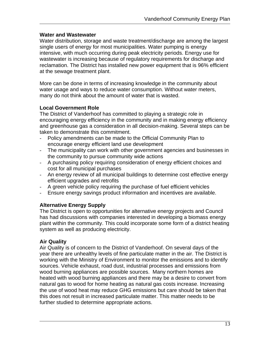#### **Water and Wastewater**

Water distribution, storage and waste treatment/discharge are among the largest single users of energy for most municipalities. Water pumping is energy intensive, with much occurring during peak electricity periods. Energy use for wastewater is increasing because of regulatory requirements for discharge and reclamation. The District has installed new power equipment that is 96% efficient at the sewage treatment plant.

More can be done in terms of increasing knowledge in the community about water usage and ways to reduce water consumption. Without water meters, many do not think about the amount of water that is wasted.

#### **Local Government Role**

The District of Vanderhoof has committed to playing a strategic role in encouraging energy efficiency in the community and in making energy efficiency and greenhouse gas a consideration in all decision-making. Several steps can be taken to demonstrate this commitment.

- Policy amendments can be made to the Official Community Plan to encourage energy efficient land use development
- The municipality can work with other government agencies and businesses in the community to pursue community wide actions
- A purchasing policy requiring consideration of energy efficient choices and cost for all municipal purchases
- An energy review of all municipal buildings to determine cost effective energy efficient upgrades and retrofits
- A green vehicle policy requiring the purchase of fuel efficient vehicles
- Ensure energy savings product information and incentives are available.

#### **Alternative Energy Supply**

The District is open to opportunities for alternative energy projects and Council has had discussions with companies interested in developing a biomass energy plant within the community. This could incorporate some form of a district heating system as well as producing electricity.

#### **Air Quality**

Air Quality is of concern to the District of Vanderhoof. On several days of the year there are unhealthy levels of fine particulate matter in the air. The District is working with the Ministry of Environment to monitor the emissions and to identify sources. Vehicle exhaust, road dust, industrial processes and emissions from wood burning appliances are possible sources. Many northern homes are heated with wood burning appliances and there may be a desire to convert from natural gas to wood for home heating as natural gas costs increase. Increasing the use of wood heat may reduce GHG emissions but care should be taken that this does not result in increased particulate matter. This matter needs to be further studied to determine appropriate actions.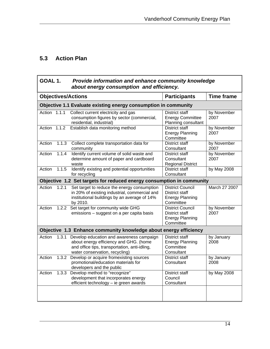## <span id="page-17-0"></span>**5.3 Action Plan**

| GOAL 1.<br>Provide information and enhance community knowledge<br>about energy consumption and efficiency. |                   |                                                                                                                                                                       |                                                                                  |                     |
|------------------------------------------------------------------------------------------------------------|-------------------|-----------------------------------------------------------------------------------------------------------------------------------------------------------------------|----------------------------------------------------------------------------------|---------------------|
| <b>Objectives/Actions</b>                                                                                  | <b>Time frame</b> |                                                                                                                                                                       |                                                                                  |                     |
|                                                                                                            |                   | Objective 1.1 Evaluate existing energy consumption in community                                                                                                       |                                                                                  |                     |
| Action 1.1.1                                                                                               |                   | Collect current electricity and gas<br>consumption figures by sector (commercial,<br>residential, industrial)                                                         | District staff<br><b>Energy Committee</b><br>Planning consultant                 | by November<br>2007 |
| Action 1.1.2                                                                                               |                   | Establish data monitoring method                                                                                                                                      | <b>District staff</b><br><b>Energy Planning</b><br>Committee                     | by November<br>2007 |
| Action                                                                                                     | 1.1.3             | Collect complete transportation data for<br>community                                                                                                                 | <b>District staff</b><br>Consultant                                              | by November<br>2007 |
| Action                                                                                                     | 1.1.4             | Identify current volume of solid waste and<br>determine amount of paper and cardboard<br>waste                                                                        | <b>District staff</b><br>Consultant<br><b>Regional District</b>                  | by November<br>2007 |
| Action                                                                                                     | 1.1.5             | Identify existing and potential opportunities<br>for recycling                                                                                                        | <b>District staff</b><br>Consultant                                              | by May 2008         |
|                                                                                                            |                   | Objective 1.2 Set targets for reduced energy consumption in community                                                                                                 |                                                                                  |                     |
| Action                                                                                                     | 1.2.1             | Set target to reduce the energy consumption<br>in 20% of existing industrial, commercial and<br>institutional buildings by an average of 14%<br>by 2010.              | <b>District Council</b><br>District staff<br><b>Energy Planning</b><br>Committee | March 27 2007       |
| Action                                                                                                     | 1.2.2             | Set target for community wide GHG<br>emissions - suggest on a per capita basis                                                                                        | <b>District Council</b><br>District staff<br><b>Energy Planning</b><br>Committee | by November<br>2007 |
|                                                                                                            |                   | Objective 1.3 Enhance community knowledge about energy efficiency                                                                                                     |                                                                                  |                     |
| Action                                                                                                     | 1.3.1             | Develop education and awareness campaign<br>about energy efficiency and GHG. (home<br>and office tips, transportation, anti-idling,<br>water conservation, recycling) | <b>District staff</b><br><b>Energy Planning</b><br>Committee<br>Consultant       | by January<br>2008  |
| Action                                                                                                     |                   | 1.3.2 Develop or acquire fromexisting sources<br>promotional/education materials for<br>developers and the public                                                     | <b>District staff</b><br>Consultant                                              | by January<br>2008  |
| Action                                                                                                     | 1.3.3             | Develop method to "recognize"<br>development that incorporates energy<br>efficient technology - ie green awards                                                       | <b>District staff</b><br>Council<br>Consultant                                   | by May 2008         |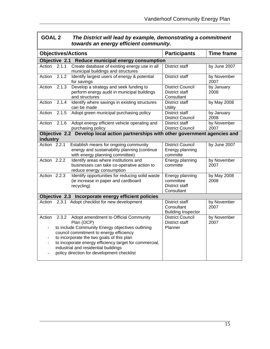| <b>GOAL 2</b> | The District will lead by example, demonstrating a commitment |
|---------------|---------------------------------------------------------------|
|               | towards an energy efficient community.                        |

|                                                   |       | <b>Objectives/Actions</b>                                                                                                                                                                                                                                                                | <b>Participants</b>                                              | <b>Time frame</b>   |  |
|---------------------------------------------------|-------|------------------------------------------------------------------------------------------------------------------------------------------------------------------------------------------------------------------------------------------------------------------------------------------|------------------------------------------------------------------|---------------------|--|
| Objective 2.1 Reduce municipal energy consumption |       |                                                                                                                                                                                                                                                                                          |                                                                  |                     |  |
| Action                                            | 2.1.1 | Create database of existing energy use in all<br>municipal buildings and structures                                                                                                                                                                                                      | <b>District staff</b>                                            | by June 2007        |  |
| Action                                            | 2.1.2 | Identify largest users of energy & potential<br>for savings                                                                                                                                                                                                                              | <b>District staff</b>                                            | by November<br>2007 |  |
| Action                                            | 2.1.3 | Develop a strategy and seek funding to<br>perform energy audit in municipal buildings<br>and structures                                                                                                                                                                                  | <b>District Council</b><br>District staff<br>Consultant          | by January<br>2008  |  |
| Action                                            | 2.1.4 | Identify where savings in existing structures<br>can be made                                                                                                                                                                                                                             | <b>District staff</b><br><b>Utility</b>                          | by May 2008         |  |
| Action                                            | 2.1.5 | Adopt green municipal purchasing policy                                                                                                                                                                                                                                                  | <b>District staff</b><br><b>District Council</b>                 | by January<br>2008  |  |
| Action                                            | 2.1.6 | Adopt energy efficient vehicle operating and<br>purchasing policy                                                                                                                                                                                                                        | <b>District staff</b><br><b>District Council</b>                 | by November<br>2007 |  |
| industry                                          |       | Objective 2.2 Develop local action partnerships with other government agencies and                                                                                                                                                                                                       |                                                                  |                     |  |
| Action 2.2.1                                      |       | Establish means for ongoing community<br>energy and sustainability planning (continue<br>with energy planning committee)                                                                                                                                                                 | <b>District Council</b><br>Energy planning<br>committe           | by June $2007$      |  |
| Action 2.2.2                                      |       | Identify areas where institutions and<br>businesses can take co-operative action to<br>reduce energy consumption                                                                                                                                                                         | Energy planning<br>committe                                      | by November<br>2007 |  |
| Action $2.2.3$                                    |       | Identify opportunities for reducing solid waste<br>(ie increase in paper and cardboard<br>recycling)                                                                                                                                                                                     | Energy planning<br>committee<br>District staff<br>Consultant     | by May 2008<br>2008 |  |
|                                                   |       | Objective 2.3 Incorporate energy efficient policies                                                                                                                                                                                                                                      |                                                                  |                     |  |
| Action                                            |       | 2.3.1 Adopt checklist for new development                                                                                                                                                                                                                                                | <b>District staff</b><br>Consultant<br><b>Building Inspector</b> | by November<br>2007 |  |
| Action                                            | 2.3.2 | Adopt amendment to Official Community<br>Plan (OCP)                                                                                                                                                                                                                                      | <b>District Council</b><br><b>District staff</b>                 | by November<br>2007 |  |
| $\overline{\phantom{a}}$                          |       | to include Community Energy objectives outlining<br>council commitment to energy efficiency<br>to incorporate the two goals of this plan<br>to incoporate energy efficiency target for commercial,<br>industrial and residential buildings<br>policy direction for development checklist | Planner                                                          |                     |  |
|                                                   |       |                                                                                                                                                                                                                                                                                          |                                                                  |                     |  |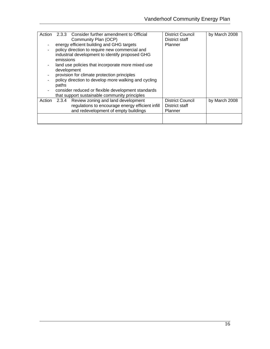| Action |             | 2.3.3 Consider further amendment to Official         | <b>District Council</b> | by March 2008 |
|--------|-------------|------------------------------------------------------|-------------------------|---------------|
|        |             | Community Plan (OCP)                                 | District staff          |               |
|        |             | energy efficient building and GHG targets            | Planner                 |               |
|        |             | policy direction to require new commercial and       |                         |               |
|        |             | industrial development to identify proposed GHG      |                         |               |
|        | emissions   |                                                      |                         |               |
|        |             | land use policies that incorporate more mixed use    |                         |               |
|        | development |                                                      |                         |               |
|        |             | provision for climate protection principles          |                         |               |
|        |             | policy direction to develop more walking and cycling |                         |               |
|        | paths       |                                                      |                         |               |
|        |             | consider reduced or flexible development standards   |                         |               |
|        |             | that support sustainable community principles        |                         |               |
| Action | 2.3.4       | Review zoning and land development                   | <b>District Council</b> | by March 2008 |
|        |             | regulations to encourage energy efficient infill     | District staff          |               |
|        |             | and redevelopment of empty buildings                 | <b>Planner</b>          |               |
|        |             |                                                      |                         |               |
|        |             |                                                      |                         |               |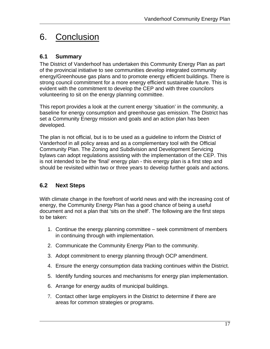# <span id="page-20-0"></span>6. Conclusion

### **6.1 Summary**

The District of Vanderhoof has undertaken this Community Energy Plan as part of the provincial initiative to see communities develop integrated community energy/Greenhouse gas plans and to promote energy efficient buildings. There is strong council commitment for a more energy efficient sustainable future. This is evident with the commitment to develop the CEP and with three councilors volunteering to sit on the energy planning committee.

This report provides a look at the current energy 'situation' in the community, a baseline for energy consumption and greenhouse gas emission. The District has set a Community Energy mission and goals and an action plan has been developed.

The plan is not official, but is to be used as a guideline to inform the District of Vanderhoof in all policy areas and as a complementary tool with the Official Community Plan. The Zoning and Subdivision and Development Servicing bylaws can adopt regulations assisting with the implementation of the CEP. This is not intended to be the 'final' energy plan - this energy plan is a first step and should be revisited within two or three years to develop further goals and actions.

### **6.2 Next Steps**

With climate change in the forefront of world news and with the increasing cost of energy, the Community Energy Plan has a good chance of being a useful document and not a plan that 'sits on the shelf'. The following are the first steps to be taken:

- 1. Continue the energy planning committee seek commitment of members in continuing through with implementation.
- 2. Communicate the Community Energy Plan to the community.
- 3. Adopt commitment to energy planning through OCP amendment.
- 4. Ensure the energy consumption data tracking continues within the District.
- 5. Identify funding sources and mechanisms for energy plan implementation.
- 6. Arrange for energy audits of municipal buildings.
- 7. Contact other large employers in the District to determine if there are areas for common strategies or programs.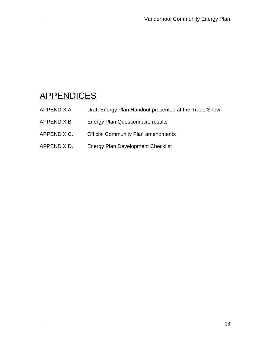# <span id="page-21-0"></span>**APPENDICES**

- APPENDIX A. Draft Energy Plan Handout presented at the Trade Show
- APPENDIX B. Energy Plan Questionnaire results
- APPENDIX C. Official Community Plan amendments
- APPENDIX D. Energy Plan Development Checklist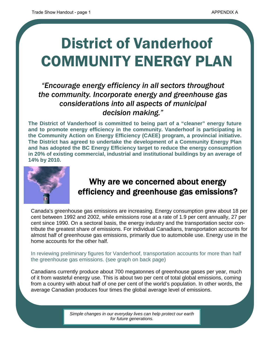# District of Vanderhoof COMMUNITY ENERGY PLAN

# *"Encourage energy efficiency in all sectors throughout the community. Incorporate energy and greenhouse gas considerations into all aspects of municipal decision making."*

**The District of Vanderhoof is committed to being part of a "cleaner" energy future and to promote energy efficiency in the community. Vanderhoof is participating in the Community Action on Energy Efficiency (CAEE) program, a provincial initiative. The District has agreed to undertake the development of a Community Energy Plan and has adopted the BC Energy Efficiency target to reduce the energy consumption in 20% of existing commercial, industrial and institutional buildings by an average of 14% by 2010.** 



# Why are we concerned about energy efficiency and greenhouse gas emissions?

Canada's greenhouse gas emissions are increasing. Energy consumption grew about 18 per cent between 1992 and 2002, while emissions rose at a rate of 1.9 per cent annually, 27 per cent since 1990. On a sectoral basis, the energy industry and the transportation sector contribute the greatest share of emissions. For individual Canadians, transportation accounts for almost half of greenhouse gas emissions, primarily due to automobile use. Energy use in the home accounts for the other half.

In reviewing preliminary figures for Vanderhoof, transportation accounts for more than half the greenhouse gas emissions. (see graph on back page)

Canadians currently produce about 700 megatonnes of greenhouse gases per year, much of it from wasteful energy use. This is about two per cent of total global emissions, coming from a country with about half of one per cent of the world's population. In other words, the average Canadian produces four times the global average level of emissions.

> *Simple changes in our everyday lives can help protect our earth for future generations.*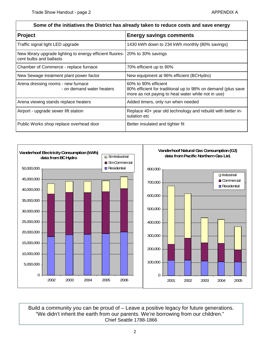| Some of the initiatives the District has already taken to reduce costs and save energy                  |                                                                                                                                            |  |  |
|---------------------------------------------------------------------------------------------------------|--------------------------------------------------------------------------------------------------------------------------------------------|--|--|
| <b>Project</b>                                                                                          | <b>Energy savings comments</b>                                                                                                             |  |  |
| Traffic signal light LED upgrade                                                                        | 1430 kWh down to 234 kWh monthly (80% savings)                                                                                             |  |  |
| New library upgrade lighting to energy efficient fluores- 20% to 30% savings<br>cent bulbs and ballasts |                                                                                                                                            |  |  |
| Chamber of Commerce - replace furnace                                                                   | 70% efficient up to 90%                                                                                                                    |  |  |
| New Sewage treatment plant power factor                                                                 | New equipment at 96% efficient (BCHydro)                                                                                                   |  |  |
| Arena dressing rooms - new furnace<br>- on demand water heaters                                         | 60% to 90% efficient<br>80% efficient for traditional up to 98% on demand (plus save<br>more as not paying to heat water while not in use) |  |  |
| Arena viewing stands replace heaters                                                                    | Added timers, only run when needed                                                                                                         |  |  |
| Airport - upgrade sewer lift station                                                                    | Replace 40+ year old technology and rebuild with better in-<br>sulation etc                                                                |  |  |
| Public Works shop replace overhead door                                                                 | Better insulated and tighter fit                                                                                                           |  |  |



Build a community you can be proud of – Leave a positive legacy for future generations. "We didn't inherit the earth from our parents. We're borrowing from our children." Chief Seattle 1788-1866

#### 2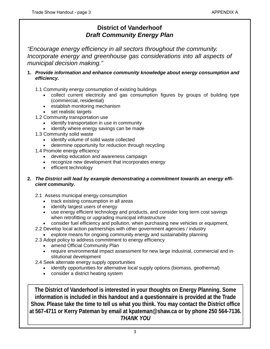### **District of Vanderhoof**  *Draft Community Energy Plan*

*"Encourage energy efficiency in all sectors throughout the community. Incorporate energy and greenhouse gas considerations into all aspects of municipal decision making."*

#### **1.** *Provide information and enhance community knowledge about energy consumption and efficiency.*

1.1 Community energy consumption of existing buildings

- collect current electricity and gas consumption figures by groups of building type (commercial, residential)
- establish monitoring mechanism
- set realistic targets
- 1.2 Community transportation use
	- identify transportation in use in community
	- identify where energy savings can be made
- 1.3 Community solid waste
	- identify volume of solid waste collected
	- determine opportunity for reduction through recycling
- 1.4 Promote energy efficiency
	- develop education and awareness campaign
	- recognize new development that incorporates energy
	- efficient technology

#### **2.** *The District will lead by example demonstrating a commitment towards an energy efficient community.*

- 2.1 Assess municipal energy consumption
	- track existing consumption in all areas
	- identify largest users of energy
	- use energy efficient technology and products, and consider long term cost savings when retrofitting or upgrading municipal infrastructure
	- consider fuel efficiency and pollution, when purchasing new vehicles or equipment,
- 2.2 Develop local action partnerships with other government agencies / industry
	- explore means for ongoing community energy and sustainability planning
- 2.3 Adopt policy to address commitment to energy efficiency
	- amend Official Community Plan
	- require environmental impact assessment for new large industrial, commercial and institutional development
- 2.4 Seek alternate energy supply opportunities
	- identify opportunities for alternative local supply options (biomass, geothermal)
	- consider a district heating system

**The District of Vanderhoof is interested in your thoughts on Energy Planning. Some information is included in this handout and a questionnaire is provided at the Trade Show. Please take the time to tell us what you think. You may contact the District office at 567-4711 or Kerry Pateman by email at kpateman@shaw.ca or by phone 250 564-7136.**  *THANK YOU*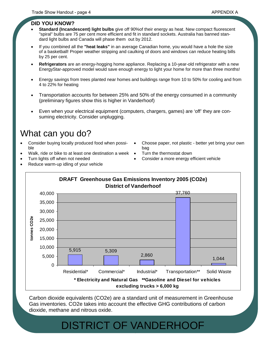#### **DID YOU KNOW?**

- **Standard (Incandescent) light bulbs** give off 90%of their energy as heat. New compact fluorescent "spiral" bulbs are 75 per cent more efficient and fit in standard sockets. Australia has banned standard light bulbs and Canada will phase them out by 2012.
- If you combined all the **"heat leaks"** in an average Canadian home, you would have a hole the size of a basketball! Proper weather stripping and caulking of doors and windows can reduce heating bills by 25 per cent.
- **Refrigerators** are an energy-hogging home appliance. Replacing a 10-year-old refrigerator with a new EnergyStar-approved model would save enough energy to light your home for more than three months!
- Energy savings from trees planted near homes and buildings range from 10 to 50% for cooling and from 4 to 22% for heating
- Transportation accounts for between 25% and 50% of the energy consumed in a community (preliminary figures show this is higher in Vanderhoof)
- Even when your electrical equipment (computers, chargers, games) are 'off' they are consuming electricity. Consider unplugging.

# What can you do?

- Consider buying locally produced food when possible
- Walk, ride or bike to at least one destination a week
- Turn lights off when not needed
- Choose paper, not plastic better yet bring your own bag • Turn the thermostat down
- Consider a more energy efficient vehicle
- Reduce warm-up idling of your vehicle



Carbon dioxide equivalents (CO2e) are a standard unit of measurement in Greenhouse Gas inventories. CO2e takes into account the effective GHG contributions of carbon

### 4 DISTRICT OF VANDERHOOF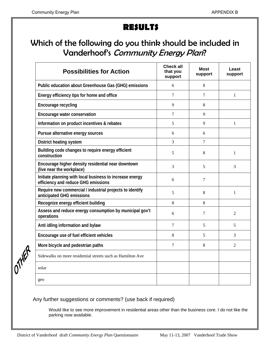# **RESULTS**

# Which of the following do you think should be included in Vanderhoof's Community Energy Plan?

| <b>Possibilities for Action</b>                                                                 | <b>Check all</b><br>that you<br>support | Most<br>support | Least<br>support |
|-------------------------------------------------------------------------------------------------|-----------------------------------------|-----------------|------------------|
| Public education about Greenhouse Gas (GHG) emissions                                           | 6                                       | 8               |                  |
| Energy efficiency tips for home and office                                                      | $\tau$                                  | 7               | $\mathbf{1}$     |
| Encourage recycling                                                                             | 9                                       | 8               |                  |
| Encourage water conservation                                                                    | 7                                       | 9               |                  |
| Information on product incentives & rebates                                                     | 5                                       | 9               | 1                |
| Pursue alternative energy sources                                                               | 6                                       | 6               |                  |
| District heating system                                                                         | 3                                       | 7               |                  |
| Building code changes to require energy efficient<br>construction                               | 5                                       | 8               | 1                |
| Encourage higher density residential near downtown<br>(live near the workplace)                 | 3                                       | 5               | 3                |
| Initiate planning with local business to increase energy<br>efficiency and reduce GHG emissions | 6                                       | 7               |                  |
| Require new commercial / industrial projects to identify<br>anticipated GHG emissions           | 5                                       | 8               | $\mathbf{1}$     |
| Recognize energy efficient building                                                             | 8                                       | 8               |                  |
| Assess and reduce energy consumption by municipal gov't<br>operations                           | 6                                       | 7               | $\mathfrak{D}$   |
| Anti idling information and bylaw                                                               | $\tau$                                  | 5               | 5                |
| Encourage use of fuel efficient vehicles                                                        | 8                                       | 5               | 3                |
| More bicycle and pedestrian paths                                                               | $\tau$                                  | 8               | $\overline{2}$   |
| Sidewalks on more residential streets such as Hamilton Ave                                      |                                         |                 |                  |
| solar                                                                                           |                                         |                 |                  |
| geo                                                                                             |                                         |                 |                  |

Any further suggestions or comments? (use back if required)

Would like to see more improvement in residential areas other than the business core. I do not like the parking now available.

OTHER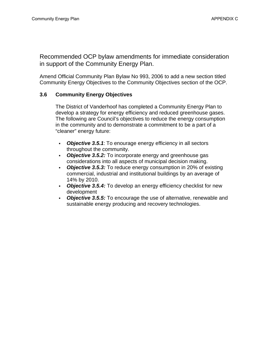Recommended OCP bylaw amendments for immediate consideration in support of the Community Energy Plan.

Amend Official Community Plan Bylaw No 993, 2006 to add a new section titled Community Energy Objectives to the Community Objectives section of the OCP.

#### **3.6 Community Energy Objectives**

The District of Vanderhoof has completed a Community Energy Plan to develop a strategy for energy efficiency and reduced greenhouse gases. The following are Council's objectives to reduce the energy consumption in the community and to demonstrate a commitment to be a part of a "cleaner" energy future:

- *Objective 3.5.1*: To enourage energy efficiency in all sectors throughout the community.
- *Objective 3.5.2:* To incorporate energy and greenhouse gas considerations into all aspects of municipal decision making.
- *Objective 3.5.3:* To reduce energy consumption in 20% of existing commercial, industrial and institutional buildings by an average of 14% by 2010.
- *Objective 3.5.4:* To develop an energy efficiency checklist for new development
- *Objective 3.5.5:* To encourage the use of alternative, renewable and sustainable energy producing and recovery technologies.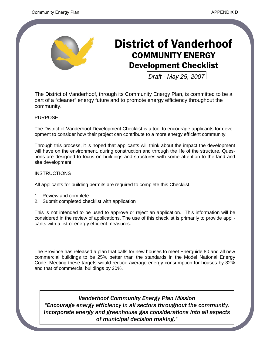

# District of Vanderhoof COMMUNITY ENERGY Development Checklist

*Draft - May 25, 2007*

The District of Vanderhoof, through its Community Energy Plan, is committed to be a part of a "cleaner" energy future and to promote energy efficiency throughout the community.

#### PURPOSE

The District of Vanderhoof Development Checklist is a tool to encourage applicants for development to consider how their project can contribute to a more energy efficient community.

Through this process, it is hoped that applicants will think about the impact the development will have on the environment, during construction and through the life of the structure. Questions are designed to focus on buildings and structures with some attention to the land and site development.

#### **INSTRUCTIONS**

All applicants for building permits are required to complete this Checklist.

- 1. Review and complete
- 2. Submit completed checklist with application

This is not intended to be used to approve or reject an application. This information will be considered in the review of applications. The use of this checklist is primarily to provide applicants with a list of energy efficient measures.

The Province has released a plan that calls for new houses to meet Energuide 80 and all new commercial buildings to be 25% better than the standards in the Model National Energy Code. Meeting these targets would reduce average energy consumption for houses by 32% and that of commercial buildings by 20%.

*Vanderhoof Community Energy Plan Mission "Encourage energy efficiency in all sectors throughout the community. Incorporate energy and greenhouse gas considerations into all aspects of municipal decision making."*